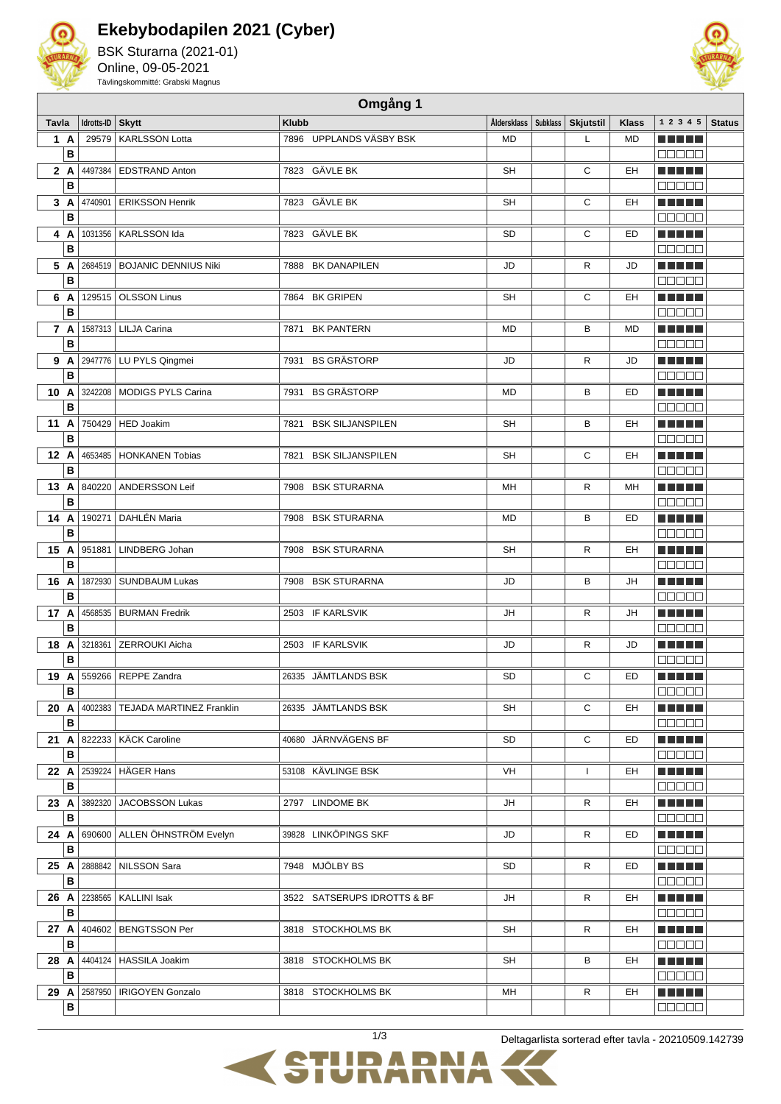

## **Ekebybodapilen 2021 (Cyber)**

BSK Sturarna (2021-01) Online, 09-05-2021 Tävlingskommitté: Grabski Magnus



|       | Omgång 1 |            |                                    |                                 |                    |          |                  |              |                          |               |
|-------|----------|------------|------------------------------------|---------------------------------|--------------------|----------|------------------|--------------|--------------------------|---------------|
| Tavla |          | Idrotts-ID | <b>Skytt</b>                       | <b>Klubb</b>                    | <b>Åldersklass</b> | Subklass | <b>Skjutstil</b> | <b>Klass</b> | 1 2 3 4 5                | <b>Status</b> |
|       | 1 A      | 29579      | <b>KARLSSON Lotta</b>              | 7896 UPPLANDS VÄSBY BSK         | <b>MD</b>          |          | L                | <b>MD</b>    | MA MARI                  |               |
|       | B        |            |                                    |                                 |                    |          |                  |              |                          |               |
| 2 A   |          | 4497384    | <b>EDSTRAND Anton</b>              | 7823 GÄVLE BK                   | <b>SH</b>          |          | C                | EH           | .                        |               |
|       | B        |            |                                    |                                 |                    |          |                  |              | n din din                |               |
|       | 3A       | 4740901    | <b>ERIKSSON Henrik</b>             | 7823 GÄVLE BK                   | <b>SH</b>          |          | C                | EH           | .                        |               |
|       | B        |            |                                    |                                 |                    |          |                  |              | 88888                    |               |
|       | 4 A      | 1031356    | KARLSSON Ida                       | 7823 GÄVLE BK                   | <b>SD</b>          |          | C                | <b>ED</b>    | .                        |               |
|       | B        |            |                                    |                                 |                    |          |                  |              | Maaaa                    |               |
| 5 A   |          |            | 2684519   BOJANIC DENNIUS Niki     | 7888 BK DANAPILEN               | JD                 |          | R                | JD           | ma matsa                 |               |
|       | B        |            |                                    |                                 |                    |          |                  |              | 00000                    |               |
| 6 A   |          | 129515     | <b>OLSSON Linus</b>                | 7864 BK GRIPEN                  | SH                 |          | С                | EH           | ma matsa                 |               |
|       | B        |            |                                    |                                 |                    |          |                  |              | 00000                    |               |
|       | 7 A<br>B |            | 1587313   LILJA Carina             | <b>BK PANTERN</b><br>7871       | <b>MD</b>          |          | в                | <b>MD</b>    | ma matsa<br><b>BBBBB</b> |               |
|       | 9A       |            | 2947776   LU PYLS Qingmei          | <b>BS GRÄSTORP</b><br>7931      | JD                 |          | R                | JD           | n nin nin                |               |
|       | B        |            |                                    |                                 |                    |          |                  |              | 88888                    |               |
| 10 A  |          | 3242208    | MODIGS PYLS Carina                 | <b>BS GRÄSTORP</b><br>7931      | MD                 |          | B                | <b>ED</b>    | n nin nin                |               |
|       | B        |            |                                    |                                 |                    |          |                  |              | 00000                    |               |
| 11    | A        | 750429     | <b>HED Joakim</b>                  | <b>BSK SILJANSPILEN</b><br>7821 | <b>SH</b>          |          | в                | EH           | n na mats                |               |
|       | B        |            |                                    |                                 |                    |          |                  |              | 00000                    |               |
| 12 A  |          | 4653485    | <b>HONKANEN Tobias</b>             | <b>BSK SILJANSPILEN</b><br>7821 | <b>SH</b>          |          | С                | EH           | a di seb                 |               |
|       | B        |            |                                    |                                 |                    |          |                  |              | <b>00000</b>             |               |
| 13 A  |          | 840220     | ANDERSSON Leif                     | 7908 BSK STURARNA               | MН                 |          | R                | MH           | M M M M M                |               |
|       | B        |            |                                    |                                 |                    |          |                  |              | 80000                    |               |
| 14 A  |          | 190271     | DAHLÉN Maria                       | 7908 BSK STURARNA               | MD                 |          | В                | ED           | MUNICIP                  |               |
|       | B        |            |                                    |                                 |                    |          |                  |              | anaa a                   |               |
| 15    | A        | 951881     | LINDBERG Johan                     | 7908 BSK STURARNA               | <b>SH</b>          |          | R                | EH           | M M M M M                |               |
|       | B        |            |                                    |                                 |                    |          |                  |              | <b>BOBBO</b>             |               |
| 16    | A        | 1872930    | <b>SUNDBAUM Lukas</b>              | 7908 BSK STURARNA               | JD                 |          | В                | JH           | a di serie dell'         |               |
|       | B        |            |                                    |                                 |                    |          |                  |              | 88888                    |               |
| 17 A  |          | 4568535    | <b>BURMAN Fredrik</b>              | 2503 IF KARLSVIK                | JH                 |          | R                | JH           | M E E E E                |               |
|       | B        |            |                                    |                                 |                    |          |                  |              | <b>NULLE</b>             |               |
| 18    | A        | 3218361    | ZERROUKI Aicha                     | 2503 IF KARLSVIK                | JD                 |          | R                | JD           | MUNICIP                  |               |
|       | B        |            |                                    |                                 |                    |          |                  |              | 88888                    |               |
|       |          |            | 19 A 559266 REPPE Zandra           | 26335 JÄMTLANDS BSK             | <b>SD</b>          |          | C                | ED           | ME SE S                  |               |
|       | В        |            |                                    |                                 |                    |          |                  |              | 88888                    |               |
| 20 A  | В        |            | 4002383   TEJADA MARTINEZ Franklin | 26335 JÄMTLANDS BSK             | SH                 |          | С                | EH           | a di seb                 |               |
|       |          |            | 822233   KÄCK Caroline             | 40680 JÄRNVÄGENS BF             |                    |          | С                | ED           | aaaaa                    |               |
| 21 A  | B        |            |                                    |                                 | SD                 |          |                  |              | ME SE S<br>00000         |               |
| 22 A  |          |            | 2539224   HÄGER Hans               | 53108 KÄVLINGE BSK              | VH                 |          | $\mathbf{I}$     | EH           | <u> El Bell</u>          |               |
|       | B        |            |                                    |                                 |                    |          |                  |              | 88888                    |               |
| 23 A  |          | 3892320    | <b>JACOBSSON Lukas</b>             | 2797 LINDOME BK                 | JH                 |          | R                | EH           | n na na                  |               |
|       | B        |            |                                    |                                 |                    |          |                  |              | 88888                    |               |
| 24 A  |          |            | 690600 ALLEN ÖHNSTRÖM Evelyn       | 39828 LINKÖPINGS SKF            | JD                 |          | R                | ED           | ME SE S                  |               |
|       | B        |            |                                    |                                 |                    |          |                  |              | MUNU U                   |               |
| 25 A  |          |            | 2888842   NILSSON Sara             | 7948 MJÖLBY BS                  | SD                 |          | R                | ED           | ME SE S                  |               |
|       | в        |            |                                    |                                 |                    |          |                  |              | 88888                    |               |
| 26 A  |          | 2238565    | KALLINI Isak                       | 3522 SATSERUPS IDROTTS & BF     | JH                 |          | R                | EH           | ME SE S                  |               |
|       | B        |            |                                    |                                 |                    |          |                  |              | 88888                    |               |
| 27 A  |          |            | 404602   BENGTSSON Per             | 3818 STOCKHOLMS BK              | SH                 |          | R                | EH           | a da bid                 |               |
|       | В        |            |                                    |                                 |                    |          |                  |              | anaan                    |               |
| 28 A  |          |            | 4404124   HASSILA Joakim           | 3818 STOCKHOLMS BK              | SH                 |          | В                | EH           | a da bid                 |               |
|       | в        |            |                                    |                                 |                    |          |                  |              | 88888                    |               |
| 29 A  |          |            | 2587950   IRIGOYEN Gonzalo         | 3818 STOCKHOLMS BK              | MН                 |          | R                | EH           | <b>REBEL</b>             |               |
|       | B        |            |                                    |                                 |                    |          |                  |              | <b>BBBBB</b>             |               |



1/3 Deltagarlista sorterad efter tavla - 20210509.142739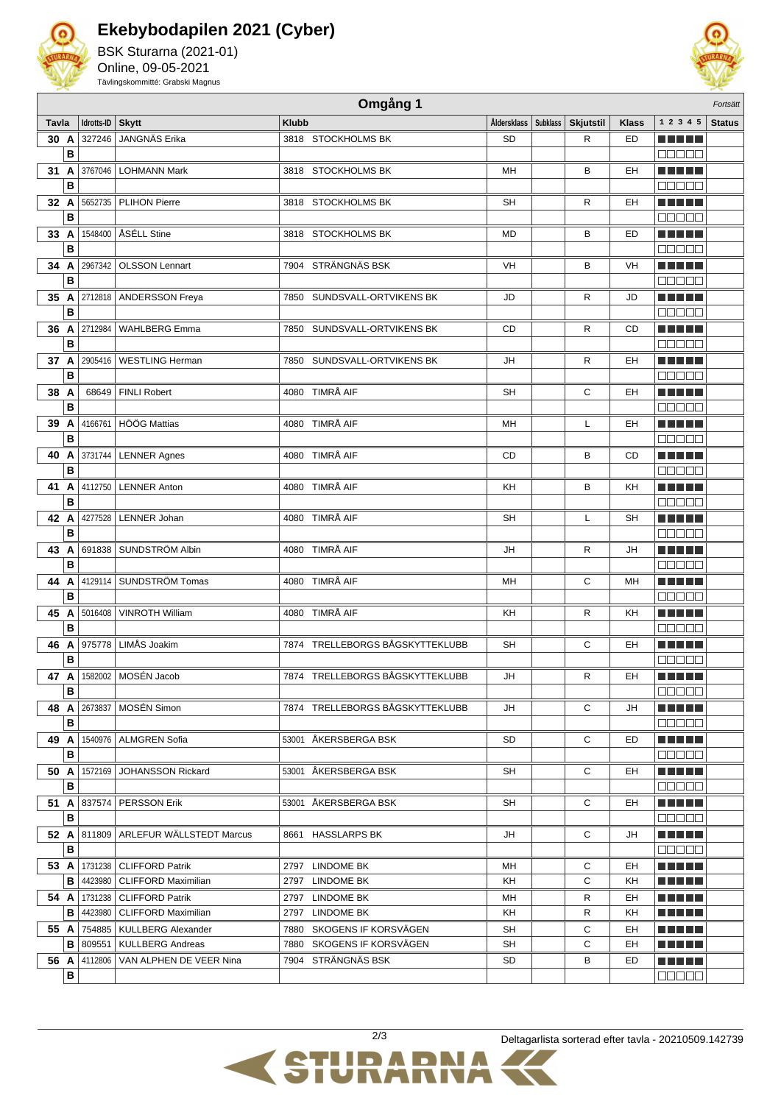

## **Ekebybodapilen 2021 (Cyber)**

BSK Sturarna (2021-01) Online, 09-05-2021 Tävlingskommitté: Grabski Magnus



|       | Omgång 1<br>Fortsätt |                 |                                         |                                 |                        |  |                  |              |                    |               |
|-------|----------------------|-----------------|-----------------------------------------|---------------------------------|------------------------|--|------------------|--------------|--------------------|---------------|
| Tavla |                      | Idrotts-ID      | <b>Skytt</b>                            | <b>Klubb</b>                    | Åldersklass   Subklass |  | <b>Skjutstil</b> | <b>Klass</b> | 1 2 3 4 5          | <b>Status</b> |
| 30 A  |                      | 327246          | JANGNÄS Erika                           | 3818 STOCKHOLMS BK              | <b>SD</b>              |  | R                | ED           | a katika Ing       |               |
|       | B                    |                 |                                         |                                 |                        |  |                  |              | 300 E E            |               |
| 31    | A                    | 3767046         | <b>LOHMANN Mark</b>                     | 3818 STOCKHOLMS BK              | MH                     |  | В                | EH           | TI FI FI FI        |               |
|       | B                    |                 |                                         |                                 |                        |  |                  |              | NA NA NA           |               |
| 32 A  |                      | 5652735         | <b>PLIHON Pierre</b>                    | 3818 STOCKHOLMS BK              | <b>SH</b>              |  | R                | EH           | TI TITLE           |               |
|       | B                    |                 |                                         |                                 |                        |  |                  |              | 30 D D D           |               |
| 33 A  |                      | 1548400         | ÅSÉLL Stine                             | 3818 STOCKHOLMS BK              | MD                     |  | B                | ED           | TI TITLE           |               |
|       | B                    |                 |                                         |                                 |                        |  |                  |              | REEE               |               |
|       |                      |                 |                                         |                                 |                        |  |                  |              |                    |               |
| 34 A  |                      | 2967342         | <b>OLSSON Lennart</b>                   | STRÄNGNÄS BSK<br>7904           | VH                     |  | B                | VH           | T FITTET           |               |
|       | B                    |                 |                                         |                                 |                        |  |                  |              | 3000A              |               |
| 35 A  |                      | 2712818         | <b>ANDERSSON Freya</b>                  | 7850 SUNDSVALL-ORTVIKENS BK     | JD                     |  | R                | JD           | TI TITLE           |               |
|       | в                    |                 |                                         |                                 |                        |  |                  |              | 300 C C C          |               |
| 36 A  |                      | 2712984         | <b>WAHLBERG Emma</b>                    | 7850 SUNDSVALL-ORTVIKENS BK     | CD                     |  | R                | CD           |                    |               |
|       | в                    |                 |                                         |                                 |                        |  |                  |              | 300 C C            |               |
| 37 A  |                      | 2905416         | <b>WESTLING Herman</b>                  | 7850 SUNDSVALL-ORTVIKENS BK     | JH                     |  | R                | EH           | TITI TIL           |               |
|       | в                    |                 |                                         |                                 |                        |  |                  |              | 3 8 8 8 8          |               |
| 38    | A                    | 68649           | <b>FINLI Robert</b>                     | 4080 TIMRÅ AIF                  | <b>SH</b>              |  | С                | EH           | TI TITLE           |               |
|       | B                    |                 |                                         |                                 |                        |  |                  |              |                    |               |
| 39    | A                    | 4166761         | HÖÖG Mattias                            | 4080 TIMRÅ AIF                  | MH                     |  | L                | EH           | TI TITLE           |               |
|       | B                    |                 |                                         |                                 |                        |  |                  |              | nnnn               |               |
| 40    | A                    | 3731744         | <b>LENNER Agnes</b>                     | 4080 TIMRÅ AIF                  | CD                     |  | B                | <b>CD</b>    | TIT FILL           |               |
|       | B                    |                 |                                         |                                 |                        |  |                  |              | a a a a a          |               |
| 41    | A                    | 4112750         | <b>LENNER Anton</b>                     | 4080 TIMRÅ AIF                  | KH                     |  | В                | KΗ           | TIT FILL           |               |
|       | B                    |                 |                                         |                                 |                        |  |                  |              | 300 E E E          |               |
| 42 A  |                      | 4277528         | <b>LENNER Johan</b>                     | 4080 TIMRÅ AIF                  | SН                     |  | L                | SH           | TI TITLE           |               |
|       | B                    |                 |                                         |                                 |                        |  |                  |              | 300 C C C          |               |
| 43    | A                    | 691838          | SUNDSTRÖM Albin                         | 4080 TIMRÅ AIF                  | JH                     |  | R                | JH           | TI TITLE           |               |
|       | B                    |                 |                                         |                                 |                        |  |                  |              | 30000              |               |
| 44    | A                    | 4129114         | SUNDSTRÖM Tomas                         | 4080 TIMRÅ AIF                  | MН                     |  | С                | MН           | an bin bin b       |               |
|       | B                    |                 |                                         |                                 |                        |  |                  |              | 300 E S            |               |
| 45    | A                    | 5016408         | <b>VINROTH William</b>                  | 4080 TIMRÅ AIF                  | KH                     |  | R                | KН           | TI DI DI T         |               |
|       | B                    |                 |                                         |                                 |                        |  |                  |              | 3 3 3 3 3          |               |
| 46    | A                    | 975778          | LIMÅS Joakim                            | 7874 TRELLEBORGS BÅGSKYTTEKLUBB | SH                     |  | С                | EH           | TI DI DI T         |               |
|       | B                    |                 |                                         |                                 |                        |  |                  |              | 3 8 8 8 8          |               |
| 47 A  |                      | 1582002         | MOSÉN Jacob                             | 7874 TRELLEBORGS BÅGSKYTTEKLUBB |                        |  | R                | EH           |                    |               |
|       |                      |                 |                                         |                                 | JH                     |  |                  |              |                    |               |
|       | В                    |                 |                                         |                                 |                        |  |                  |              | 88888              |               |
|       |                      | 48 A 2673837    | MOSÉN Simon                             | 7874 TRELLEBORGS BÅGSKYTTEKLUBB | JH                     |  | С                | JH           | <u> La Barta</u>   |               |
|       | в                    |                 |                                         |                                 |                        |  |                  |              | 00000              |               |
| 49 A  |                      |                 | 1540976   ALMGREN Sofia                 | 53001 ÅKERSBERGA BSK            | SD                     |  | С                | ED           | M S S S S S        |               |
|       | в                    |                 |                                         |                                 |                        |  |                  |              | <b>00000</b>       |               |
| 50 A  |                      | 1572169         | <b>JOHANSSON Rickard</b>                | 53001 ÅKERSBERGA BSK            | SH                     |  | С                | EH           | ME NE SE           |               |
|       | в                    |                 |                                         |                                 |                        |  |                  |              | Maaa a             |               |
|       |                      | 51 A 837574     | <b>PERSSON Erik</b>                     | 53001 ÅKERSBERGA BSK            | SH                     |  | С                | EH           | en je po po        |               |
|       | в                    |                 |                                         |                                 |                        |  |                  |              | 88888              |               |
|       |                      |                 | 52 A 811809 ARLEFUR WÄLLSTEDT Marcus    | 8661 HASSLARPS BK               | JH                     |  | С                | JH           | e e e e e          |               |
|       | В                    |                 |                                         |                                 |                        |  |                  |              | 00000              |               |
|       |                      |                 | <b>53 A   1731238   CLIFFORD Patrik</b> | 2797 LINDOME BK                 | MН                     |  | С                | EH           | e e e e e          |               |
|       | в                    | 4423980         | <b>CLIFFORD Maximilian</b>              | 2797 LINDOME BK                 | KH                     |  | C                | KH           | <u> El El El E</u> |               |
|       |                      | 54 A 1731238    | <b>CLIFFORD Patrik</b>                  | 2797 LINDOME BK                 | MН                     |  | R                | EH           | n na mar           |               |
|       | в                    | 4423980         | <b>CLIFFORD Maximilian</b>              | 2797 LINDOME BK                 | KH                     |  | R                | KH           | ME NE SE           |               |
|       |                      | 55 A 754885     | KULLBERG Alexander                      | 7880 SKOGENS IF KORSVÄGEN       | SH                     |  | С                | EH           | M M M M M          |               |
|       |                      | <b>B</b> 809551 | <b>KULLBERG Andreas</b>                 | 7880 SKOGENS IF KORSVÄGEN       | SH                     |  | С                | EH           | en je po po        |               |
|       |                      | 56 A 4112806    | VAN ALPHEN DE VEER Nina                 | 7904 STRÄNGNÄS BSK              | SD                     |  | В                | ED           | M M M M M          |               |
|       | В                    |                 |                                         |                                 |                        |  |                  |              | <b>BOOOO</b>       |               |